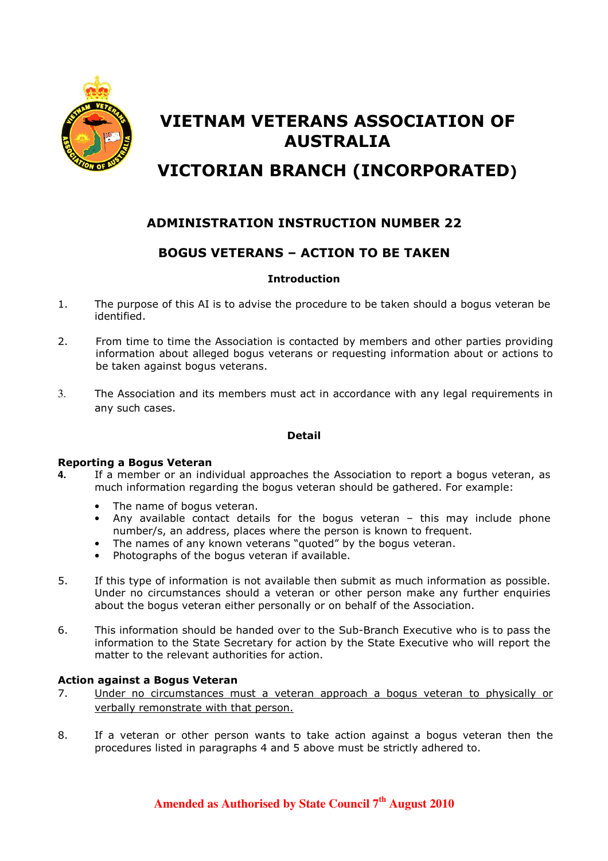

# VIETNAM VETERANS ASSOCIATION OF AUSTRALIA

# VICTORIAN BRANCH (INCORPORATED)

## ADMINISTRATION INSTRUCTION NUMBER 22

### BOGUS VETERANS – ACTION TO BE TAKEN

#### Introduction

- 1. The purpose of this AI is to advise the procedure to be taken should a bogus veteran be identified.
- 2. From time to time the Association is contacted by members and other parties providing information about alleged bogus veterans or requesting information about or actions to be taken against bogus veterans.
- 3. The Association and its members must act in accordance with any legal requirements in any such cases.

#### Detail

#### Reporting a Bogus Veteran

- **4.** If a member or an individual approaches the Association to report a bogus veteran, as much information regarding the bogus veteran should be gathered. For example:
	- The name of bogus veteran.
	- Any available contact details for the bogus veteran  $-$  this may include phone number/s, an address, places where the person is known to frequent.
	- The names of any known veterans "quoted" by the bogus veteran.
	- Photographs of the bogus veteran if available.
- 5. If this type of information is not available then submit as much information as possible. Under no circumstances should a veteran or other person make any further enquiries about the bogus veteran either personally or on behalf of the Association.
- 6. This information should be handed over to the Sub-Branch Executive who is to pass the information to the State Secretary for action by the State Executive who will report the matter to the relevant authorities for action.

#### Action against a Bogus Veteran

- 7. Under no circumstances must a veteran approach a bogus veteran to physically or verbally remonstrate with that person.
- 8. If a veteran or other person wants to take action against a bogus veteran then the procedures listed in paragraphs 4 and 5 above must be strictly adhered to.